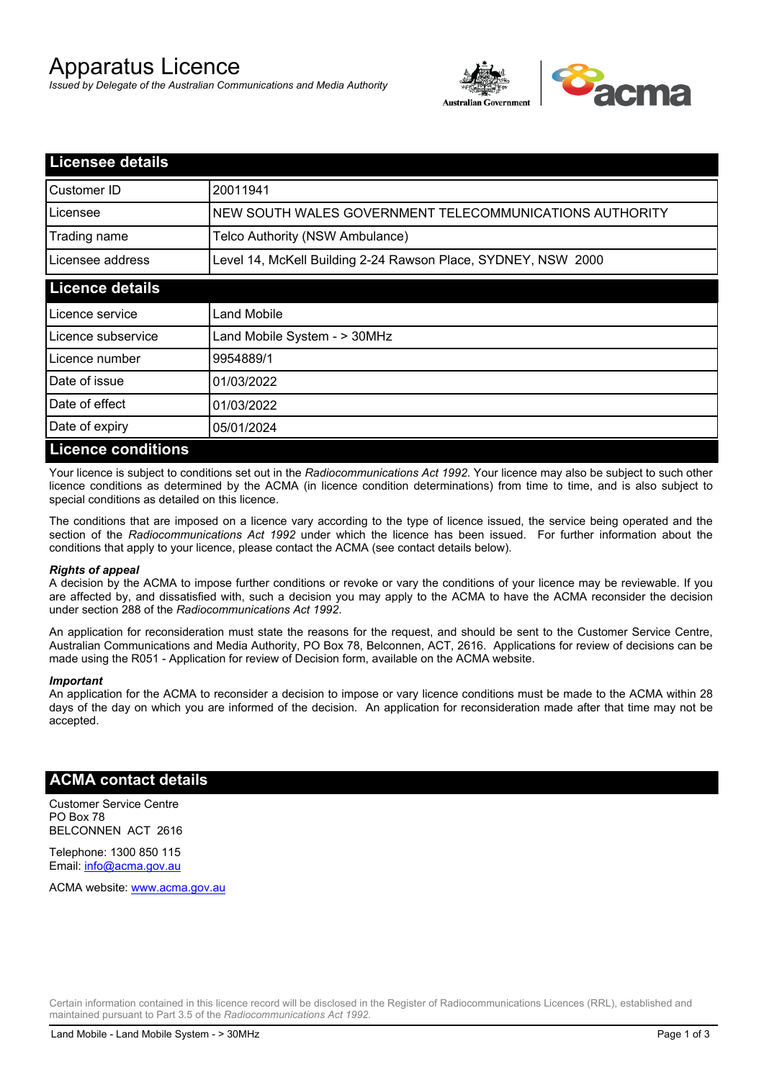# Apparatus Licence

*Issued by Delegate of the Australian Communications and Media Authority*



| <b>Licensee details</b>   |                                                               |  |
|---------------------------|---------------------------------------------------------------|--|
| Customer ID               | 20011941                                                      |  |
| Licensee                  | NEW SOUTH WALES GOVERNMENT TELECOMMUNICATIONS AUTHORITY       |  |
| Trading name              | Telco Authority (NSW Ambulance)                               |  |
| Licensee address          | Level 14, McKell Building 2-24 Rawson Place, SYDNEY, NSW 2000 |  |
| <b>Licence details</b>    |                                                               |  |
| Licence service           | Land Mobile                                                   |  |
| Licence subservice        | Land Mobile System - > 30MHz                                  |  |
| Licence number            | 9954889/1                                                     |  |
| Date of issue             | 01/03/2022                                                    |  |
| Date of effect            | 01/03/2022                                                    |  |
| Date of expiry            | 05/01/2024                                                    |  |
| <b>Licence conditions</b> |                                                               |  |

Your licence is subject to conditions set out in the *Radiocommunications Act 1992*. Your licence may also be subject to such other licence conditions as determined by the ACMA (in licence condition determinations) from time to time, and is also subject to special conditions as detailed on this licence.

The conditions that are imposed on a licence vary according to the type of licence issued, the service being operated and the section of the *Radiocommunications Act 1992* under which the licence has been issued. For further information about the conditions that apply to your licence, please contact the ACMA (see contact details below).

#### *Rights of appeal*

A decision by the ACMA to impose further conditions or revoke or vary the conditions of your licence may be reviewable. If you are affected by, and dissatisfied with, such a decision you may apply to the ACMA to have the ACMA reconsider the decision under section 288 of the *Radiocommunications Act 1992*.

An application for reconsideration must state the reasons for the request, and should be sent to the Customer Service Centre, Australian Communications and Media Authority, PO Box 78, Belconnen, ACT, 2616. Applications for review of decisions can be made using the R051 - Application for review of Decision form, available on the ACMA website.

#### *Important*

An application for the ACMA to reconsider a decision to impose or vary licence conditions must be made to the ACMA within 28 days of the day on which you are informed of the decision. An application for reconsideration made after that time may not be accepted.

### **ACMA contact details**

Customer Service Centre PO Box 78 BELCONNEN ACT 2616

Telephone: 1300 850 115 Email: info@acma.gov.au

ACMA website: www.acma.gov.au

Certain information contained in this licence record will be disclosed in the Register of Radiocommunications Licences (RRL), established and maintained pursuant to Part 3.5 of the *Radiocommunications Act 1992.*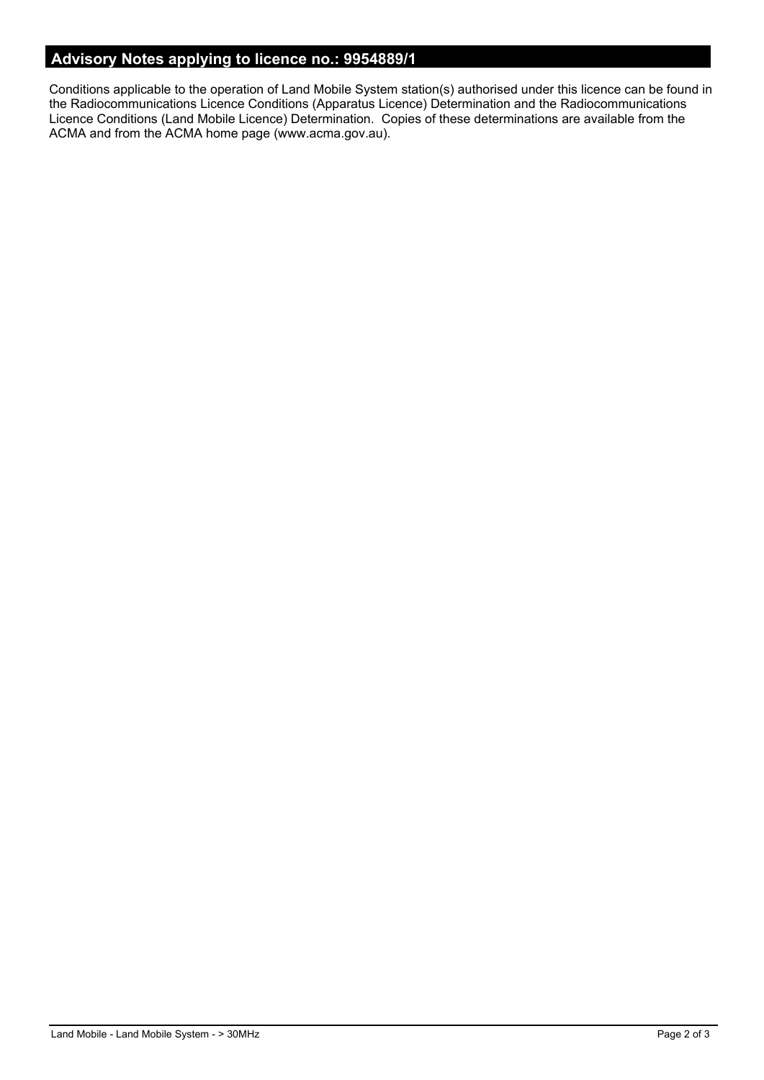# **Advisory Notes applying to licence no.: 9954889/1**

Conditions applicable to the operation of Land Mobile System station(s) authorised under this licence can be found in the Radiocommunications Licence Conditions (Apparatus Licence) Determination and the Radiocommunications Licence Conditions (Land Mobile Licence) Determination. Copies of these determinations are available from the ACMA and from the ACMA home page (www.acma.gov.au).